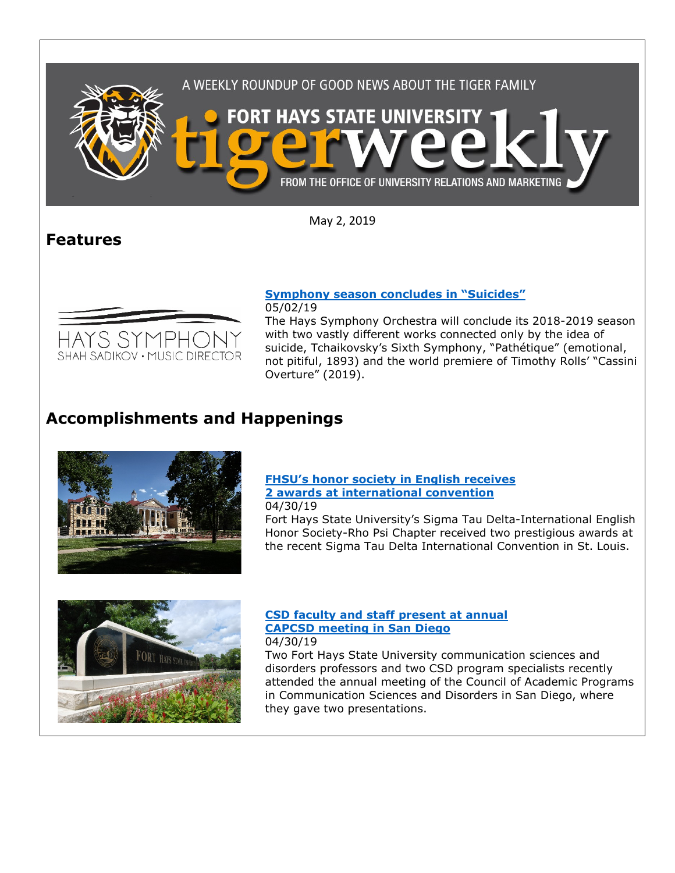



05/02/19

The Hays Symphony Orchestra will conclude its 2018-2019 season with two vastly different works connected only by the idea of suicide, Tchaikovsky's Sixth Symphony, "Pathétique" (emotional, not pitiful, 1893) and the world premiere of Timothy Rolls' "Cassini Overture" (2019).

# **Accomplishments and Happenings**



#### **[FHSU's honor society in English receives](https://www.fhsu.edu/news/2019/04/fhsus-honor-society-in-english-receives-2-awards-at-international-convention)  [2 awards at international convention](https://www.fhsu.edu/news/2019/04/fhsus-honor-society-in-english-receives-2-awards-at-international-convention)** 04/30/19

Fort Hays State University's Sigma Tau Delta-International English Honor Society-Rho Psi Chapter received two prestigious awards at the recent Sigma Tau Delta International Convention in St. Louis.



### **[CSD faculty and staff present at annual](https://www.fhsu.edu/news/2019/04/csd-faculty-and-staff-present-at-annual-capcsd-meeting-in-san-diego)  [CAPCSD meeting in San Diego](https://www.fhsu.edu/news/2019/04/csd-faculty-and-staff-present-at-annual-capcsd-meeting-in-san-diego)** 04/30/19

Two Fort Hays State University communication sciences and disorders professors and two CSD program specialists recently attended the annual meeting of the Council of Academic Programs in Communication Sciences and Disorders in San Diego, where they gave two presentations.